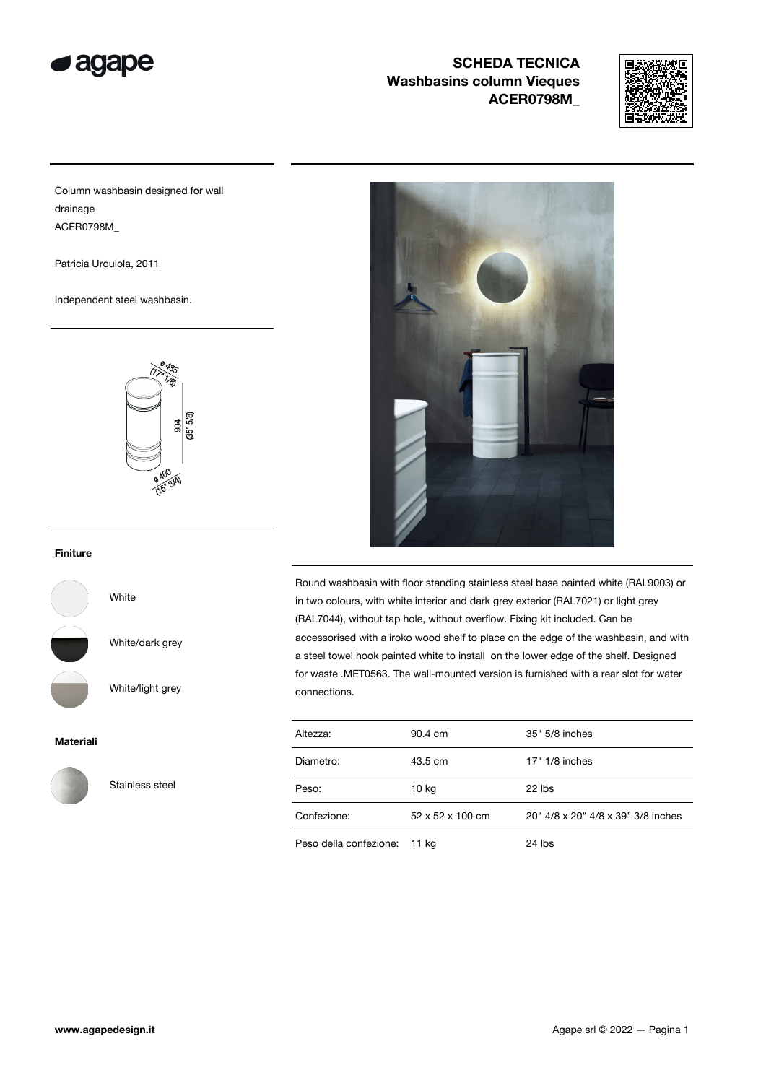



Column washbasin designed for wall drainage ACER0798M\_

Patricia Urquiola, 2011

Independent steel washbasin.



### Finiture



White/dark grey

White

White/light grey

#### Materiali



Stainless steel



Round washbasin with floor standing stainless steel base painted white (RAL9003) or in two colours, with white interior and dark grey exterior (RAL7021) or light grey (RAL7044), without tap hole, without overflow. Fixing kit included. Can be accessorised with a iroko wood shelf to place on the edge of the washbasin, and with a steel towel hook painted white to install on the lower edge of the shelf. Designed for waste .MET0563. The wall-mounted version is furnished with a rear slot for water connections.

| Altezza:                     | 90.4 cm          | 35" 5/8 inches                     |
|------------------------------|------------------|------------------------------------|
| Diametro:                    | 43.5 cm          | $17" 1/8$ inches                   |
| Peso:                        | 10 kg            | 22 lbs                             |
| Confezione:                  | 52 x 52 x 100 cm | 20" 4/8 x 20" 4/8 x 39" 3/8 inches |
| Peso della confezione: 11 kg |                  | $24$ lbs                           |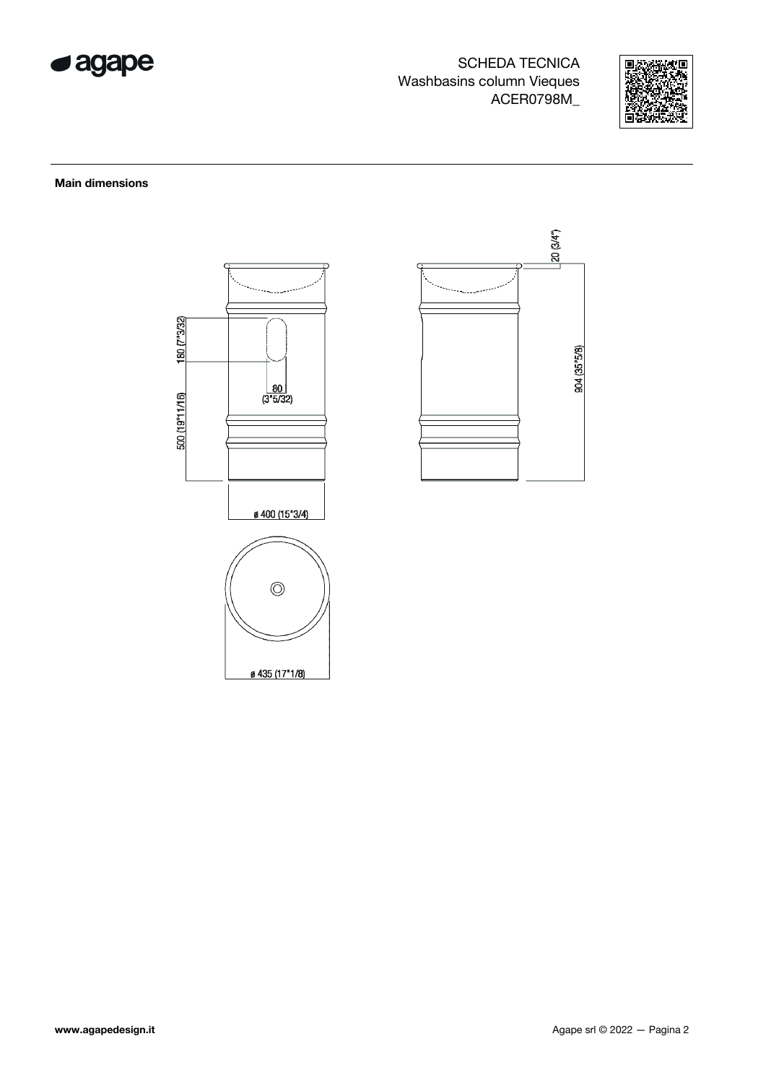



### **Main dimensions**



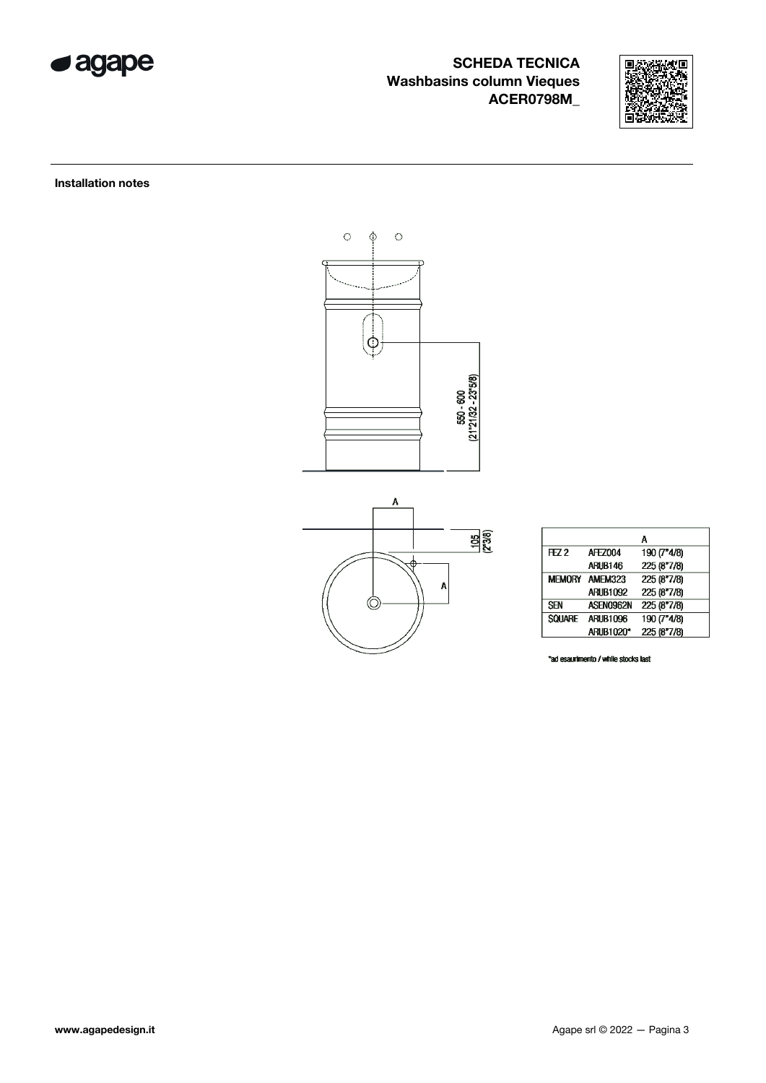



Installation notes



|                |                       | Α           |
|----------------|-----------------------|-------------|
| FZ2            | AFF7004               | 190 (7"4/8) |
|                | ARUB146               | 225 (8"7/8) |
|                | <b>MEMORY AMEM323</b> | 225 (8"7/8) |
|                | <b>ARUB1092</b>       | 225 (8"7/8) |
| <b>SEN</b>     | ASEN0962N             | 225 (8"7/8) |
| <b>SOLIARE</b> | <b>ARLIB1096</b>      | 190 (7"4/8) |
|                | ARUB1020*             | 225 (8"7/8) |

\*ad esaurimento / while stocks last